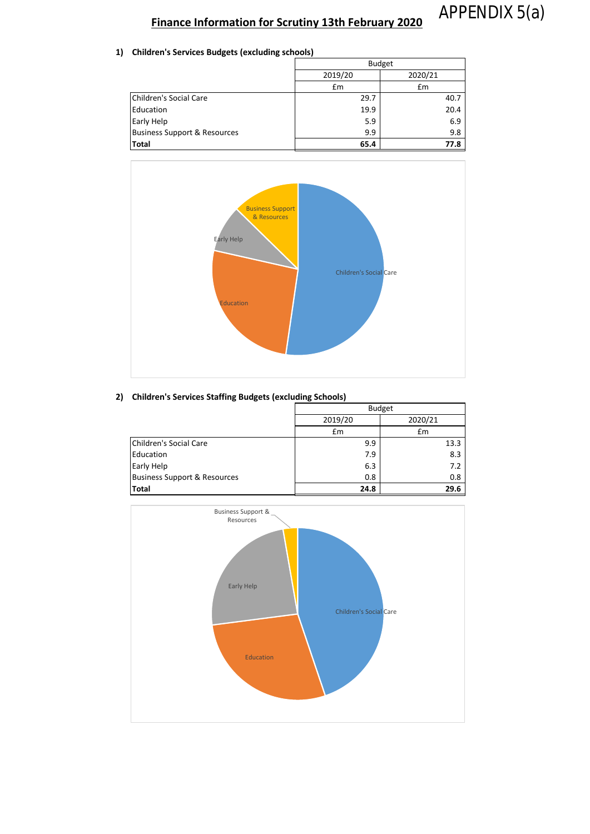# APPENDIX 5(a)

## **Finance Information for Scrutiny 13th February 2020**

**1) Children's Services Budgets (excluding schools)**

|                                         | <b>Budget</b> |         |
|-----------------------------------------|---------------|---------|
|                                         | 2019/20       | 2020/21 |
|                                         | Em            | £m      |
| Children's Social Care                  | 29.7          | 40.7    |
| Education                               | 19.9          | 20.4    |
| <b>Early Help</b>                       | 5.9           | 6.9     |
| <b>Business Support &amp; Resources</b> | 9.9           | 9.8     |
| <b>Total</b>                            | 65.4          | 77.8    |



#### **2) Children's Services Staffing Budgets (excluding Schools)**

|                                         | <b>Budget</b> |         |
|-----------------------------------------|---------------|---------|
|                                         | 2019/20       | 2020/21 |
|                                         | £m            | £m      |
| Children's Social Care                  | 9.9           | 13.3    |
| Education                               | 7.9           | 8.3     |
| Early Help                              | 6.3           | 7.2     |
| <b>Business Support &amp; Resources</b> | 0.8           | 0.8     |
| <b>Total</b>                            | 24.8          | 29.6    |

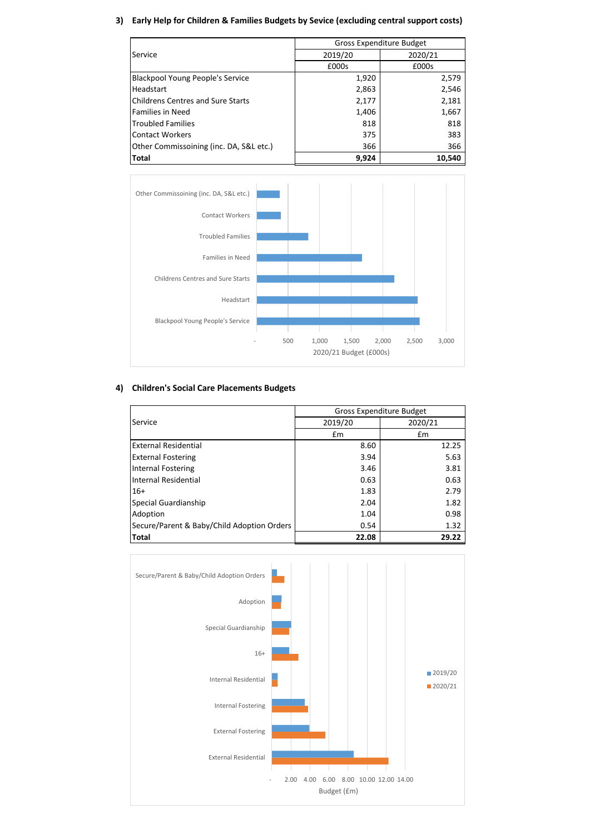#### **3) Early Help for Children & Families Budgets by Sevice (excluding central support costs)**

|                                          | Gross Expenditure Budget |         |
|------------------------------------------|--------------------------|---------|
| Service                                  | 2019/20                  | 2020/21 |
|                                          | £000s                    | £000s   |
| <b>Blackpool Young People's Service</b>  | 1,920                    | 2,579   |
| Headstart                                | 2,863                    | 2,546   |
| <b>Childrens Centres and Sure Starts</b> | 2,177                    | 2,181   |
| <b>Families in Need</b>                  | 1,406                    | 1,667   |
| <b>Troubled Families</b>                 | 818                      | 818     |
| <b>Contact Workers</b>                   | 375                      | 383     |
| Other Commissoining (inc. DA, S&L etc.)  | 366                      | 366     |
| <b>Total</b>                             | 9,924                    | 10,540  |



### **4) Children's Social Care Placements Budgets**

|                                            | Gross Expenditure Budget |         |
|--------------------------------------------|--------------------------|---------|
| Service                                    | 2019/20                  | 2020/21 |
|                                            | Em                       | £m      |
| <b>External Residential</b>                | 8.60                     | 12.25   |
| <b>External Fostering</b>                  | 3.94                     | 5.63    |
| Internal Fostering                         | 3.46                     | 3.81    |
| Internal Residential                       | 0.63                     | 0.63    |
| $16+$                                      | 1.83                     | 2.79    |
| Special Guardianship                       | 2.04                     | 1.82    |
| Adoption                                   | 1.04                     | 0.98    |
| Secure/Parent & Baby/Child Adoption Orders | 0.54                     | 1.32    |
| <b>Total</b>                               | 22.08                    | 29.22   |